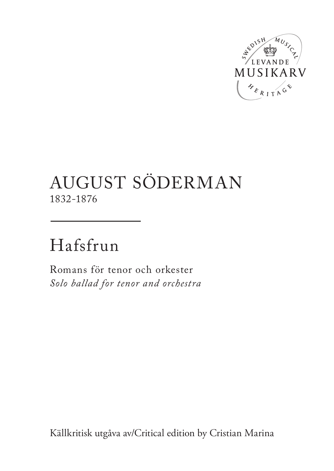

# AUGUST SÖDERMAN 1832-1876

# Hafsfrun

Romans för tenor och orkester *Solo ballad for tenor and orchestra*

Källkritisk utgåva av/Critical edition by Cristian Marina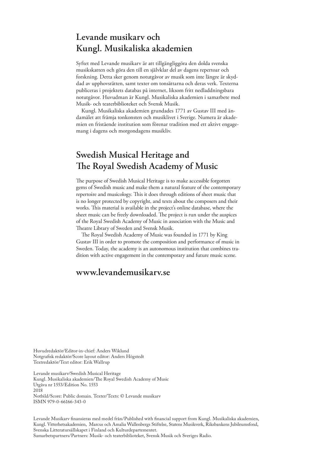## **Levande musikarv och Kungl. Musikaliska akademien**

Syftet med Levande musikarv är att tillgängliggöra den dolda svenska musikskatten och göra den till en självklar del av dagens repertoar och forskning. Detta sker genom notutgåvor av musik som inte längre är skyddad av upphovsrätten, samt texter om tonsättarna och deras verk. Texterna publiceras i projektets databas på internet, liksom fritt nedladdningsbara notutgåvor. Huvudman är Kungl. Musikaliska akademien i samarbete med Musik- och teaterbiblioteket och Svensk Musik.

Kungl. Musikaliska akademien grundades 1771 av Gustav III med ändamålet att främja tonkonsten och musiklivet i Sverige. Numera är akademien en fristående institution som förenar tradition med ett aktivt engagemang i dagens och morgondagens musikliv.

## **Swedish Musical Heritage and The Royal Swedish Academy of Music**

The purpose of Swedish Musical Heritage is to make accessible forgotten gems of Swedish music and make them a natural feature of the contemporary repertoire and musicology. This it does through editions of sheet music that is no longer protected by copyright, and texts about the composers and their works. This material is available in the project's online database, where the sheet music can be freely downloaded. The project is run under the auspices of the Royal Swedish Academy of Music in association with the Music and Theatre Library of Sweden and Svensk Musik.

The Royal Swedish Academy of Music was founded in 1771 by King Gustav III in order to promote the composition and performance of music in Sweden. Today, the academy is an autonomous institution that combines tradition with active engagement in the contemporary and future music scene.

#### **www.levandemusikarv.se**

Huvudredaktör/Editor-in-chief: Anders Wiklund Notgrafisk redaktör/Score layout editor: Anders Högstedt Textredaktör/Text editor: Erik Wallrup

Levande musikarv/Swedish Musical Heritage Kungl. Musikaliska akademien/The Royal Swedish Academy of Music Utgåva nr 1553/Edition No. 1553 2018 Notbild/Score: Public domain. Texter/Texts: © Levande musikarv ISMN 979-0-66166-343-0

Levande Musikarv finansieras med medel från/Published with financial support from Kungl. Musikaliska akademien, Kungl. Vitterhetsakademien, Marcus och Amalia Wallenbergs Stiftelse, Statens Musikverk, Riksbankens Jubileumsfond, Svenska Litteratursällskapet i Finland och Kulturdepartementet. Samarbetspartners/Partners: Musik- och teaterbiblioteket, Svensk Musik och Sveriges Radio.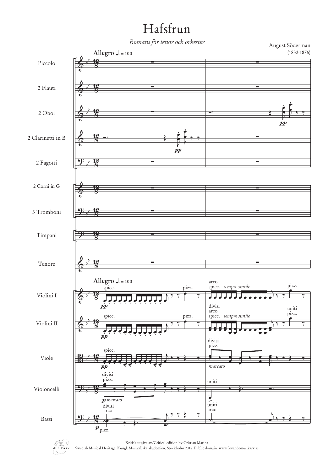## Hafsfrun

*Romans för tenor och orkester*

August Söderman





Swedish Musical Heritage, Kungl. Musikaliska akademien, Stockholm 2018. Public domain. www.levandemusikarv.se Kritisk utgåva av/Critical edition by Cristian Marina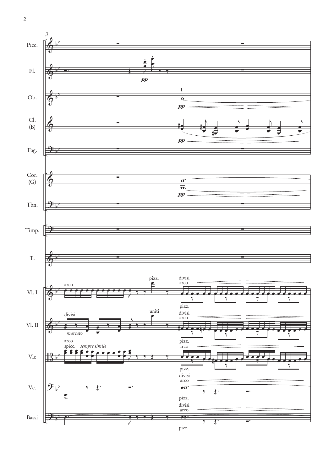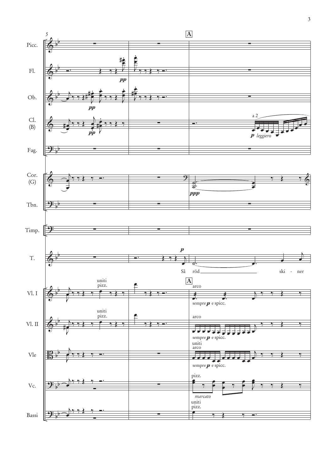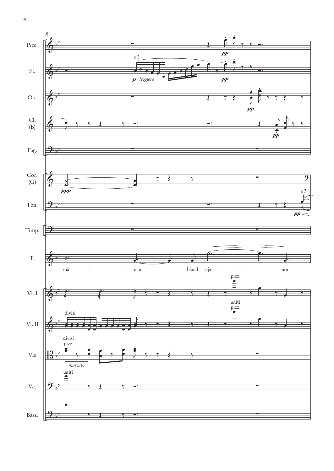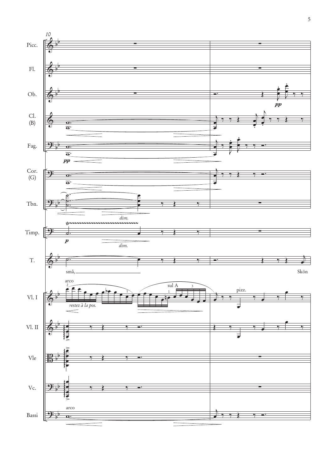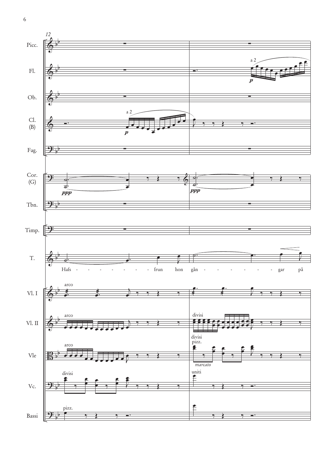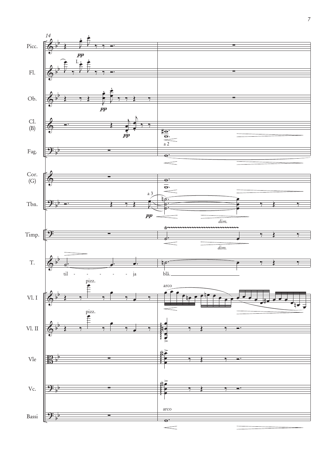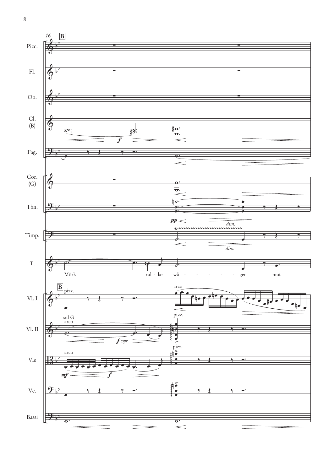

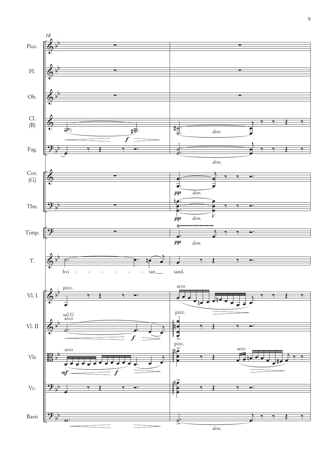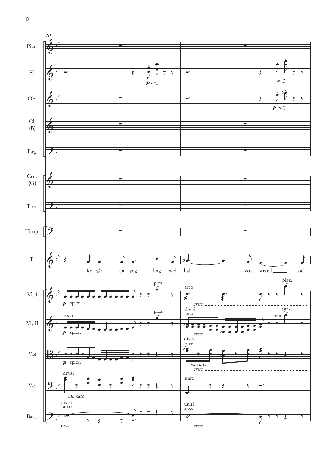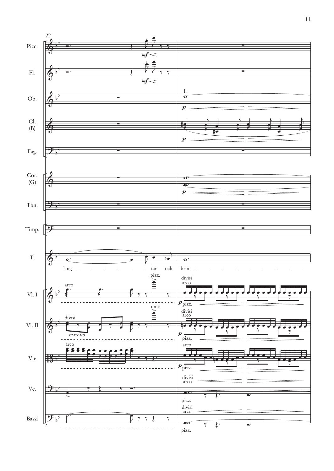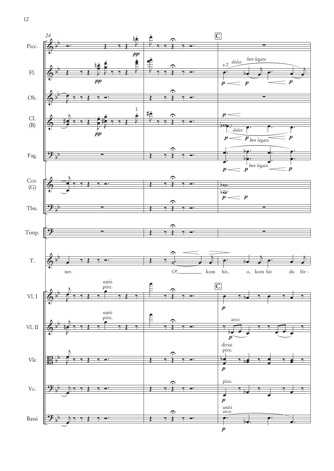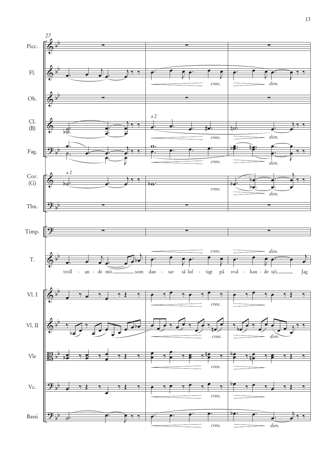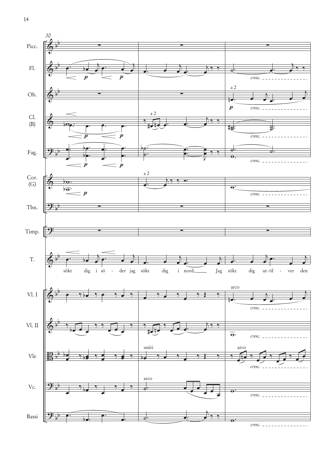

*cresc.*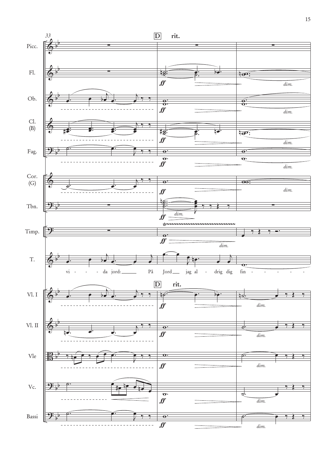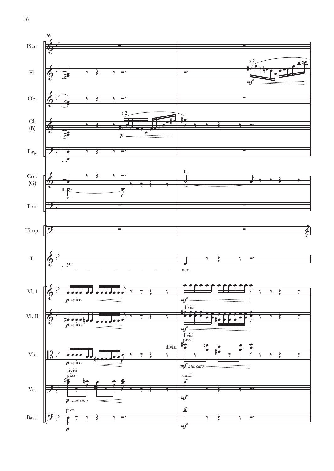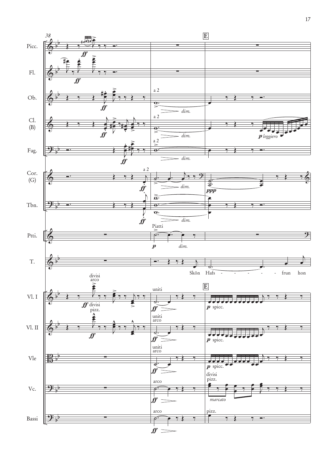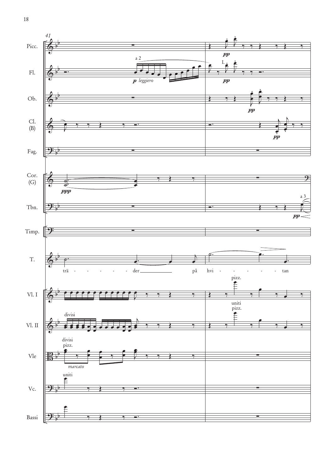

18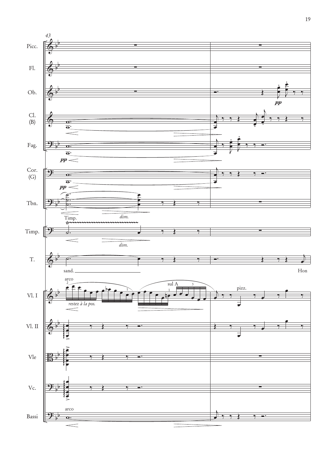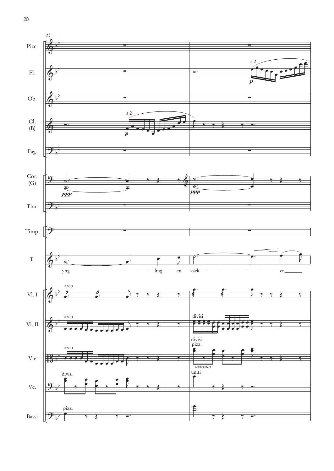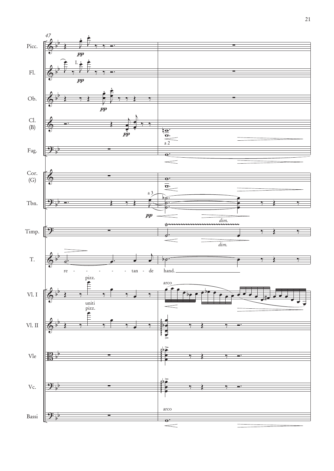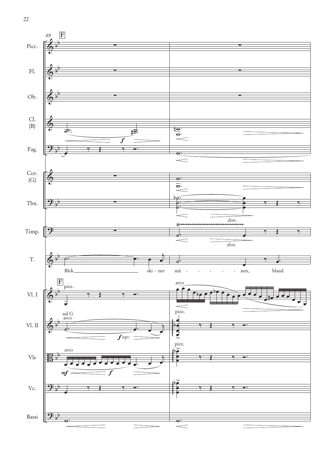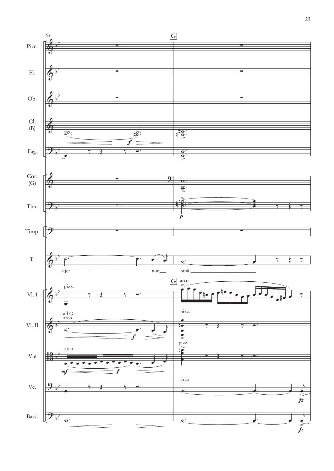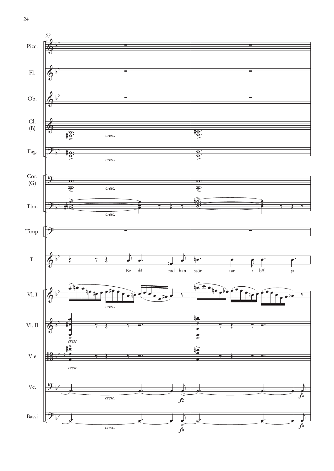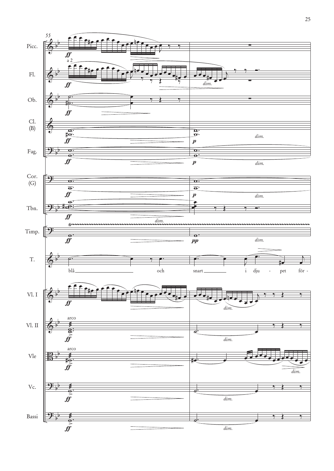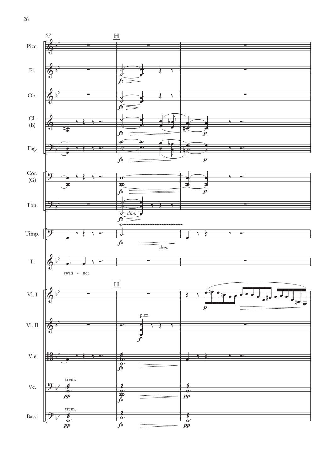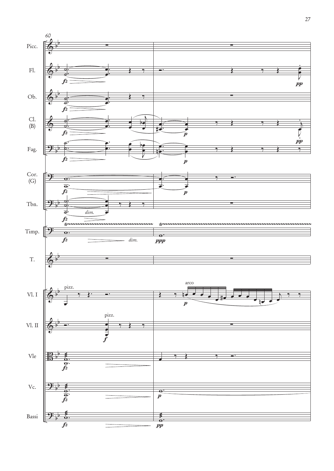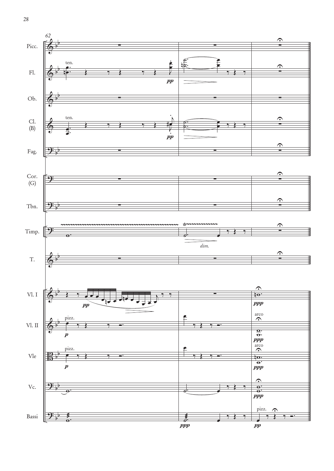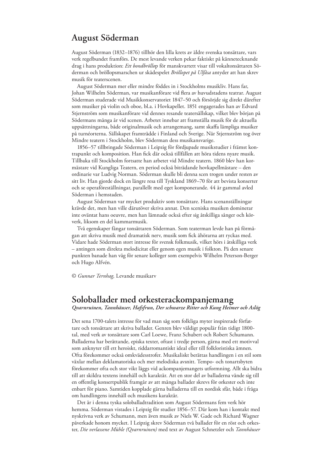#### **August Söderman**

August Söderman (1832–1876) tillhör den lilla krets av äldre svenska tonsättare, vars verk regelbundet framförs. De mest levande verken pekar faktiskt på kännetecknande drag i hans produktion: *Ett bondbröllo*p för manskvartett visar till vokaltonsättaren Söderman och bröllopsmarschen ur skådespelet *Bröllopet på Ulfåsa* antyder att han skrev musik för teaterscenen.

August Söderman mer eller mindre föddes in i Stockholms musikliv. Hans far, Johan Wilhelm Söderman, var musikanförare vid flera av huvudstadens teatrar. August Söderman studerade vid Musikkonservatoriet 1847–50 och försörjde sig direkt därefter som musiker på violin och oboe, bl.a. i Hovkapellet. 1851 engagerades han av Edvard Stjernström som musikanförare vid dennes resande teatersällskap, vilket blev början på Södermans många år vid scenen. Arbetet innebar att framställa musik för de aktuella uppsättningarna, både originalmusik och arrangemang, samt skaffa lämpliga musiker på turnéorterna. Sällskapet framträdde i Finland och Sverige. När Stjernström tog över Mindre teatern i Stockholm, blev Söderman dess musikansvarige.

1856–57 tillbringade Söderman i Leipzig för fördjupade musikstudier i främst kontrapunkt och komposition. Han fick där också tillfällen att höra tidens nyare musik. Tillbaka till Stockholm fortsatte han arbetet vid Mindre teatern. 1860 blev han kormästare vid Kungliga Teatern, en period också biträdande hovkapellmästare – den ordinarie var Ludvig Norman. Söderman skulle bli denna scen trogen under resten av sitt liv. Han gjorde dock en längre resa till Tyskland 1869–70 för att bevista konserter och se operaföreställningar, parallellt med eget komponerande. 44 år gammal avled Söderman i hemstaden.

August Söderman var mycket produktiv som tonsättare. Hans scenanställningar krävde det, men han ville därutöver skriva annat. Den sceniska musiken dominerar inte oväntat hans oeuvre, men han lämnade också efter sig åtskilliga sånger och körverk, liksom en del kammarmusik.

Två egenskaper fångar tonsättaren Söderman. Som teaterman levde han på förmågan att skriva musik med dramatisk nerv, musik som fick åhörarna att ryckas med. Vidare hade Söderman stort intresse för svensk folkmusik, vilket hörs i åtskilliga verk – antingen som direkta melodicitat eller genom egen musik i folkton. På den senare punkten banade han väg för senare kolleger som exempelvis Wilhelm Peterson-Berger och Hugo Alfvén.

© *Gunnar Ternhag,* Levande musikarv

#### **Soloballader med orkesterackompanjemang**

*Qvarnruinen, Tannhäuser, Hafsfrun, Der schwarze Ritter och Kung Heimer och Aslög*

Det sena 1700-talets intresse för vad man såg som folkliga myter inspirerade författare och tonsättare att skriva ballader. Genren blev väldigt populär från tidigt 1800 tal, med verk av tonsättare som Carl Loewe, Franz Schubert och Robert Schumann. Balladerna har berättande, episka texter, oftast i tredje person, gärna med ett motivval som anknyter till ett heroiskt, riddarromantiskt ideal eller till folkloristiska ämnen. Ofta förekommer också omkvädesstrofer. Musikaliskt berättas handlingen i en stil som växlar mellan deklamatoriska och mer melodiska avsnitt. Tempo- och tonartsbyten förekommer ofta och stor vikt läggs vid ackompanjemangets utformning. Allt ska bidra till att skildra textens innehåll och karaktär. Att en stor del av balladerna vände sig till en offentlig konsertpublik framgår av att många ballader skrevs för orkester och inte enbart för piano. Samtiden kopplade gärna balladerna till en nordisk sfär, både i fråga om handlingens innehåll och musikens karaktär.

Det är i denna tyska soloballadtradition som August Södermans fem verk hör hemma. Söderman vistades i Leipzig för studier 1856–57. Där kom han i kontakt med nyskrivna verk av Schumann, men även musik av Niels W. Gade och Richard Wagner påverkade honom mycket. I Leipzig skrev Söderman två ballader för en röst och orkester, *Die verlassene Mühle (Qvarnruinen)* med text av August Schnetzler och *Tannhäuser*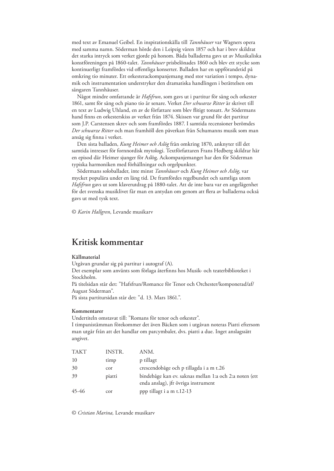med text av Emanuel Geibel. En inspirationskälla till *Tannhäuser* var Wagners opera med samma namn. Söderman hörde den i Leipzig våren 1857 och har i brev skildrat det starka intryck som verket gjorde på honom. Båda balladerna gavs ut av Musikaliska konstföreningen på 1860-talet. *Tannhäuser* prisbelönades 1860 och blev ett stycke som kontinuerligt framfördes vid offentliga konserter. Balladen har en uppförandetid på omkring tio minuter. Ett orkesterackompanjemang med stor variation i tempo, dynamik och instrumentation understryker den dramatiska handlingen i berättelsen om sångaren Tannhäuser.

Något mindre omfattande är *Hafsfrun*, som gavs ut i partitur för sång och orkester 1861, samt för sång och piano tio år senare. Verket *Der schwarze Ritter* är skrivet till en text av Ludwig Uhland, en av de författare som blev flitigt tonsatt. Av Södermans hand finns en orkesterskiss av verket från 1874. Skissen var grund för det partitur som J.P. Carstensen skrev och som framfördes 1887. I samtida recensioner berömdes *Der schwarze Ritter* och man framhöll den påverkan från Schumanns musik som man ansåg sig finna i verket.

Den sista balladen, *Kung Heimer och Aslög* från omkring 1870, anknyter till det samtida intresset för fornnordisk mytologi. Textförfattaren Frans Hedberg skildrar här en episod där Heimer sjunger för Aslög. Ackompanjemanget har den för Söderman typiska harmoniken med förhållningar och orgelpunkter.

Södermans soloballader, inte minst *Tannhäuser* och *Kung Heimer och Aslög*, var mycket populära under en lång tid. De framfördes regelbundet och samtliga utom *Hafsfrun* gavs ut som klaverutdrag på 1880-talet. Att de inte bara var en angelägenhet för det svenska musiklivet får man en antydan om genom att flera av balladerna också gavs ut med tysk text.

© *Karin Hallgren*, Levande musikarv

#### **Kritisk kommentar**

#### **Källmaterial**

Utgåvan grundar sig på partitur i autograf (A).

Det exemplar som använts som förlaga återfinns hos Musik- och teaterbiblioteket i Stockholm.

På titelsidan står det: "Hafsfrun/Romance för Tenor och Orchester/komponerad/af/ August Söderman".

På sista partitursidan står det: "d. 13. Mars 1861.".

#### **Kommentarer**

Undertiteln omstavat till: "Romans för tenor och orkester". I timpanistämman förekommer det även Bäcken som i utgåvan noteras Piatti eftersom man utgår från att det handlar om parcymbaler, dvs. piatti a due. Inget anslagssätt angivet.

| <b>TAKT</b> | INSTR. | ANM.                                                                                          |
|-------------|--------|-----------------------------------------------------------------------------------------------|
| 10          | timp   | p tillagt                                                                                     |
| 30          | cor    | crescendobåge och p tillagda i a m t.26                                                       |
| 39          | piatti | bindebåge kan ev. saknas mellan 1:a och 2:a noten (ett<br>enda anslag), jfr övriga instrument |
| 45-46       | cor    | ppp tillagt i a m t.12-13                                                                     |

© *Cristian Marina,* Levande musikarv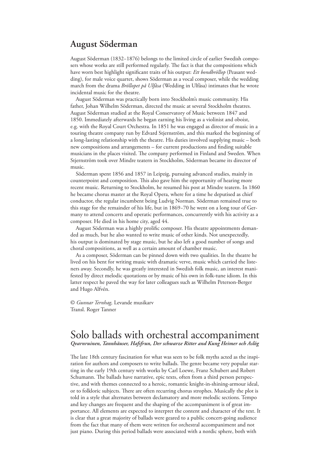#### **August Söderman**

August Söderman (1832−1876) belongs to the limited circle of earlier Swedish composers whose works are still performed regularly. The fact is that the compositions which have worn best highlight significant traits of his output: *Ett bondbröllop* (Peasant wedding), for male voice quartet, shows Söderman as a vocal composer, while the wedding march from the drama *Bröllopet på Ulfåsa* (Wedding in Ulfåsa) intimates that he wrote incidental music for the theatre.

August Söderman was practically born into Stockholm's music community. His father, Johan Wilhelm Söderman, directed the music at several Stockholm theatres. August Söderman studied at the Royal Conservatory of Music between 1847 and 1850. Immediately afterwards he began earning his living as a violinist and oboist, e.g. with the Royal Court Orchestra. In 1851 he was engaged as director of music in a touring theatre company run by Edvard Stjernström, and this marked the beginning of a long-lasting relationship with the theatre. His duties involved supplying music – both new compositions and arrangements – for current productions and finding suitable musicians in the places visited. The company performed in Finland and Sweden. When Stjernström took over Mindre teatern in Stockholm, Söderman became its director of music.

Söderman spent 1856 and 1857 in Leipzig, pursuing advanced studies, mainly in counterpoint and composition. This also gave him the opportunity of hearing more recent music. Returning to Stockholm, he resumed his post at Mindre teatern. In 1860 he became chorus master at the Royal Opera, where for a time he deputised as chief conductor, the regular incumbent being Ludvig Norman. Söderman remained true to this stage for the remainder of his life, but in 1869−70 he went on a long tour of Germany to attend concerts and operatic performances, concurrently with his activity as a composer. He died in his home city, aged 44.

August Söderman was a highly prolific composer. His theatre appointments demanded as much, but he also wanted to write music of other kinds. Not unexpectedly, his output is dominated by stage music, but he also left a good number of songs and choral compositions, as well as a certain amount of chamber music.

As a composer, Söderman can be pinned down with two qualities. In the theatre he lived on his bent for writing music with dramatic verve, music which carried the listeners away. Secondly, he was greatly interested in Swedish folk music, an interest manifested by direct melodic quotations or by music of his own in folk-tune idiom. In this latter respect he paved the way for later colleagues such as Wilhelm Peterson-Berger and Hugo Alfvén.

© *Gunnar Ternhag,* Levande musikarv Transl. Roger Tanner

#### Solo ballads with orchestral accompaniment *Qvarnruinen, Tannhäuser, Hafsfrun, Der schwarze Ritter and Kung Heimer och Aslög*

The late 18th century fascination for what was seen to be folk myths acted as the inspiration for authors and composers to write ballads. The genre became very popular starting in the early 19th century with works by Carl Loewe, Franz Schubert and Robert Schumann. The ballads have narrative, epic texts, often from a third person perspective, and with themes connected to a heroic, romantic knight-in-shining-armour ideal, or to folkloric subjects. There are often recurring chorus strophes. Musically the plot is told in a style that alternates between declamatory and more melodic sections. Tempo and key changes are frequent and the shaping of the accompaniment is of great importance. All elements are expected to interpret the content and character of the text. It is clear that a great majority of ballads were geared to a public concert-going audience from the fact that many of them were written for orchestral accompaniment and not just piano. During this period ballads were associated with a nordic sphere, both with